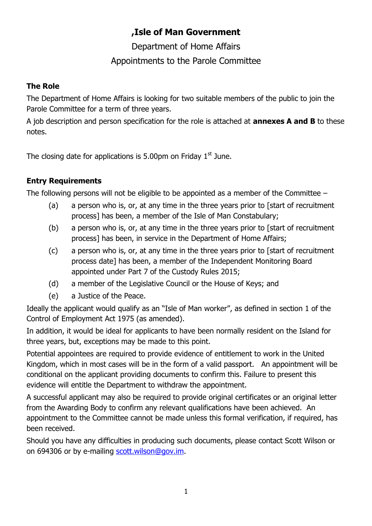# **,Isle of Man Government**

Department of Home Affairs Appointments to the Parole Committee

### **The Role**

The Department of Home Affairs is looking for two suitable members of the public to join the Parole Committee for a term of three years.

A job description and person specification for the role is attached at **annexes A and B** to these notes.

The closing date for applications is 5.00pm on Friday  $1<sup>st</sup>$  June.

## **Entry Requirements**

The following persons will not be eligible to be appointed as a member of the Committee –

- (a) a person who is, or, at any time in the three years prior to [start of recruitment process] has been, a member of the Isle of Man Constabulary;
- (b) a person who is, or, at any time in the three years prior to [start of recruitment process] has been, in service in the Department of Home Affairs;
- (c) a person who is, or, at any time in the three years prior to [start of recruitment process date] has been, a member of the Independent Monitoring Board appointed under Part 7 of the Custody Rules 2015;
- (d) a member of the Legislative Council or the House of Keys; and
- (e) a Justice of the Peace.

Ideally the applicant would qualify as an "Isle of Man worker", as defined in section 1 of the Control of Employment Act 1975 (as amended).

In addition, it would be ideal for applicants to have been normally resident on the Island for three years, but, exceptions may be made to this point.

Potential appointees are required to provide evidence of entitlement to work in the United Kingdom, which in most cases will be in the form of a valid passport. An appointment will be conditional on the applicant providing documents to confirm this. Failure to present this evidence will entitle the Department to withdraw the appointment.

A successful applicant may also be required to provide original certificates or an original letter from the Awarding Body to confirm any relevant qualifications have been achieved. An appointment to the Committee cannot be made unless this formal verification, if required, has been received.

Should you have any difficulties in producing such documents, please contact Scott Wilson or on 694306 or by e-mailing [scott.wilson@gov.im.](mailto:scott.wilson@gov.im)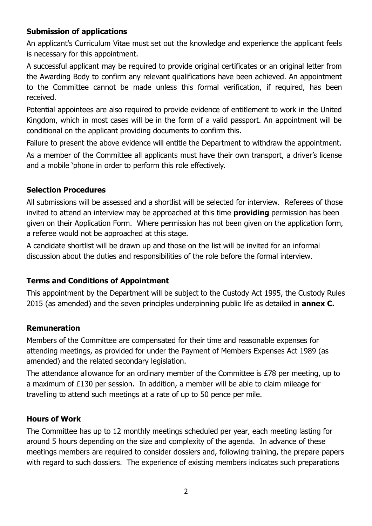## **Submission of applications**

An applicant's Curriculum Vitae must set out the knowledge and experience the applicant feels is necessary for this appointment.

A successful applicant may be required to provide original certificates or an original letter from the Awarding Body to confirm any relevant qualifications have been achieved. An appointment to the Committee cannot be made unless this formal verification, if required, has been received.

Potential appointees are also required to provide evidence of entitlement to work in the United Kingdom, which in most cases will be in the form of a valid passport. An appointment will be conditional on the applicant providing documents to confirm this.

Failure to present the above evidence will entitle the Department to withdraw the appointment. As a member of the Committee all applicants must have their own transport, a driver's license and a mobile 'phone in order to perform this role effectively.

## **Selection Procedures**

All submissions will be assessed and a shortlist will be selected for interview. Referees of those invited to attend an interview may be approached at this time **providing** permission has been given on their Application Form. Where permission has not been given on the application form, a referee would not be approached at this stage.

A candidate shortlist will be drawn up and those on the list will be invited for an informal discussion about the duties and responsibilities of the role before the formal interview.

### **Terms and Conditions of Appointment**

This appointment by the Department will be subject to the Custody Act 1995, the Custody Rules 2015 (as amended) and the seven principles underpinning public life as detailed in **annex C.**

### **Remuneration**

Members of the Committee are compensated for their time and reasonable expenses for attending meetings, as provided for under the Payment of Members Expenses Act 1989 (as amended) and the related secondary legislation.

The attendance allowance for an ordinary member of the Committee is £78 per meeting, up to a maximum of £130 per session. In addition, a member will be able to claim mileage for travelling to attend such meetings at a rate of up to 50 pence per mile.

### **Hours of Work**

The Committee has up to 12 monthly meetings scheduled per year, each meeting lasting for around 5 hours depending on the size and complexity of the agenda. In advance of these meetings members are required to consider dossiers and, following training, the prepare papers with regard to such dossiers. The experience of existing members indicates such preparations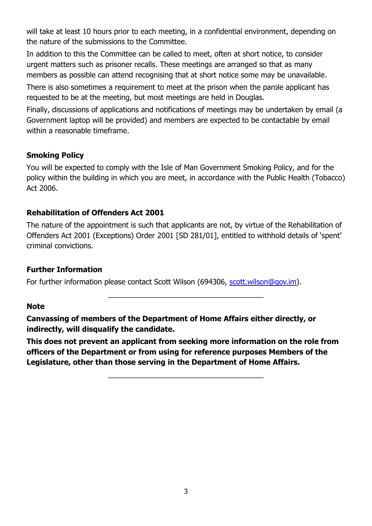will take at least 10 hours prior to each meeting, in a confidential environment, depending on the nature of the submissions to the Committee.

In addition to this the Committee can be called to meet, often at short notice, to consider urgent matters such as prisoner recalls. These meetings are arranged so that as many members as possible can attend recognising that at short notice some may be unavailable.

There is also sometimes a requirement to meet at the prison when the parole applicant has requested to be at the meeting, but most meetings are held in Douglas.

Finally, discussions of applications and notifications of meetings may be undertaken by email (a Government laptop will be provided) and members are expected to be contactable by email within a reasonable timeframe.

## **Smoking Policy**

You will be expected to comply with the Isle of Man Government Smoking Policy, and for the policy within the building in which you are meet, in accordance with the Public Health (Tobacco) Act 2006.

## **Rehabilitation of Offenders Act 2001**

The nature of the appointment is such that applicants are not, by virtue of the Rehabilitation of Offenders Act 2001 (Exceptions) Order 2001 [SD 281/01], entitled to withhold details of 'spent' criminal convictions.

\_\_\_\_\_\_\_\_\_\_\_\_\_\_\_\_\_\_\_\_\_\_\_\_\_\_\_\_\_\_\_\_\_\_\_\_\_\_

### **Further Information**

For further information please contact Scott Wilson (694306, [scott.wilson@gov.im\)](mailto:scott.wilson@gov.im).

### **Note**

**Canvassing of members of the Department of Home Affairs either directly, or indirectly, will disqualify the candidate.** 

**This does not prevent an applicant from seeking more information on the role from officers of the Department or from using for reference purposes Members of the Legislature, other than those serving in the Department of Home Affairs.** 

\_\_\_\_\_\_\_\_\_\_\_\_\_\_\_\_\_\_\_\_\_\_\_\_\_\_\_\_\_\_\_\_\_\_\_\_\_\_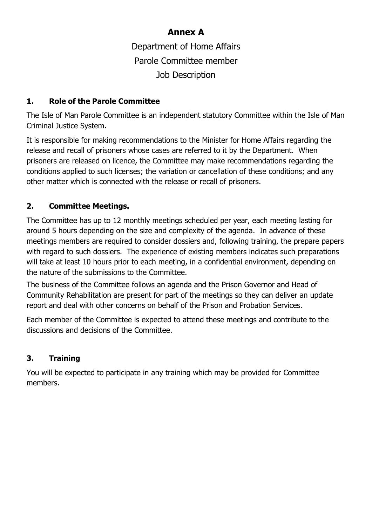# **Annex A**

Department of Home Affairs Parole Committee member Job Description

## **1. Role of the Parole Committee**

The Isle of Man Parole Committee is an independent statutory Committee within the Isle of Man Criminal Justice System.

It is responsible for making recommendations to the Minister for Home Affairs regarding the release and recall of prisoners whose cases are referred to it by the Department. When prisoners are released on licence, the Committee may make recommendations regarding the conditions applied to such licenses; the variation or cancellation of these conditions; and any other matter which is connected with the release or recall of prisoners.

## **2. Committee Meetings.**

The Committee has up to 12 monthly meetings scheduled per year, each meeting lasting for around 5 hours depending on the size and complexity of the agenda. In advance of these meetings members are required to consider dossiers and, following training, the prepare papers with regard to such dossiers. The experience of existing members indicates such preparations will take at least 10 hours prior to each meeting, in a confidential environment, depending on the nature of the submissions to the Committee.

The business of the Committee follows an agenda and the Prison Governor and Head of Community Rehabilitation are present for part of the meetings so they can deliver an update report and deal with other concerns on behalf of the Prison and Probation Services.

Each member of the Committee is expected to attend these meetings and contribute to the discussions and decisions of the Committee.

## **3. Training**

You will be expected to participate in any training which may be provided for Committee members.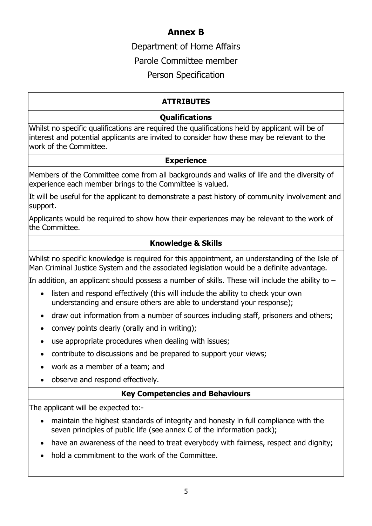# **Annex B**

Department of Home Affairs

Parole Committee member

Person Specification

# **ATTRIBUTES**

## **Qualifications**

Whilst no specific qualifications are required the qualifications held by applicant will be of interest and potential applicants are invited to consider how these may be relevant to the work of the Committee.

### **Experience**

Members of the Committee come from all backgrounds and walks of life and the diversity of experience each member brings to the Committee is valued.

It will be useful for the applicant to demonstrate a past history of community involvement and support.

Applicants would be required to show how their experiences may be relevant to the work of the Committee.

# **Knowledge & Skills**

Whilst no specific knowledge is required for this appointment, an understanding of the Isle of Man Criminal Justice System and the associated legislation would be a definite advantage.

In addition, an applicant should possess a number of skills. These will include the ability to  $-$ 

- listen and respond effectively (this will include the ability to check your own understanding and ensure others are able to understand your response);
- draw out information from a number of sources including staff, prisoners and others;
- convey points clearly (orally and in writing);
- use appropriate procedures when dealing with issues;
- contribute to discussions and be prepared to support your views;
- work as a member of a team; and
- observe and respond effectively.

## **Key Competencies and Behaviours**

The applicant will be expected to:-

- maintain the highest standards of integrity and honesty in full compliance with the seven principles of public life (see annex C of the information pack);
- have an awareness of the need to treat everybody with fairness, respect and dignity;
- hold a commitment to the work of the Committee.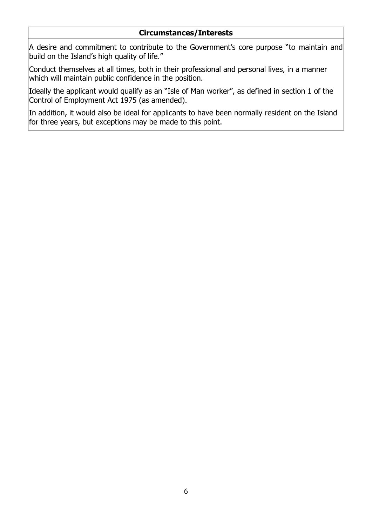#### **Circumstances/Interests**

A desire and commitment to contribute to the Government's core purpose "to maintain and build on the Island's high quality of life."

Conduct themselves at all times, both in their professional and personal lives, in a manner which will maintain public confidence in the position.

Ideally the applicant would qualify as an "Isle of Man worker", as defined in section 1 of the Control of Employment Act 1975 (as amended).

In addition, it would also be ideal for applicants to have been normally resident on the Island for three years, but exceptions may be made to this point.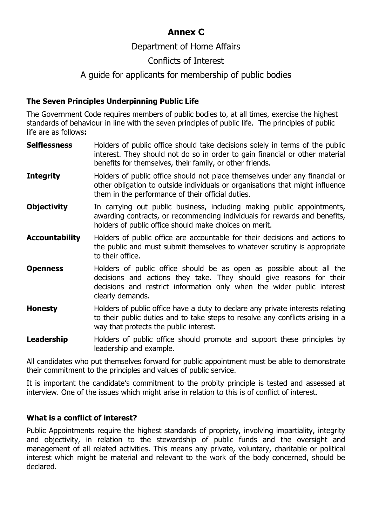# **Annex C**

# Department of Home Affairs

# Conflicts of Interest

# A guide for applicants for membership of public bodies

## **The Seven Principles Underpinning Public Life**

The Government Code requires members of public bodies to, at all times, exercise the highest standards of behaviour in line with the seven principles of public life. The principles of public life are as follows**:**

- **Selflessness** Holders of public office should take decisions solely in terms of the public interest. They should not do so in order to gain financial or other material benefits for themselves, their family, or other friends.
- **Integrity** Holders of public office should not place themselves under any financial or other obligation to outside individuals or organisations that might influence them in the performance of their official duties.
- **Objectivity** In carrying out public business, including making public appointments, awarding contracts, or recommending individuals for rewards and benefits, holders of public office should make choices on merit.
- **Accountability** Holders of public office are accountable for their decisions and actions to the public and must submit themselves to whatever scrutiny is appropriate to their office.
- **Openness** Holders of public office should be as open as possible about all the decisions and actions they take. They should give reasons for their decisions and restrict information only when the wider public interest clearly demands.
- **Honesty** Holders of public office have a duty to declare any private interests relating to their public duties and to take steps to resolve any conflicts arising in a way that protects the public interest.
- **Leadership** Holders of public office should promote and support these principles by leadership and example.

All candidates who put themselves forward for public appointment must be able to demonstrate their commitment to the principles and values of public service.

It is important the candidate's commitment to the probity principle is tested and assessed at interview. One of the issues which might arise in relation to this is of conflict of interest.

### **What is a conflict of interest?**

Public Appointments require the highest standards of propriety, involving impartiality, integrity and objectivity, in relation to the stewardship of public funds and the oversight and management of all related activities. This means any private, voluntary, charitable or political interest which might be material and relevant to the work of the body concerned, should be declared.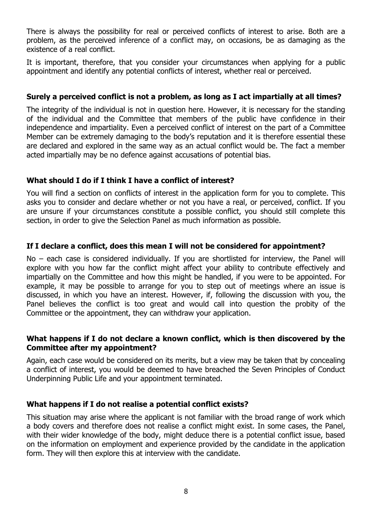There is always the possibility for real or perceived conflicts of interest to arise. Both are a problem, as the perceived inference of a conflict may, on occasions, be as damaging as the existence of a real conflict.

It is important, therefore, that you consider your circumstances when applying for a public appointment and identify any potential conflicts of interest, whether real or perceived.

#### **Surely a perceived conflict is not a problem, as long as I act impartially at all times?**

The integrity of the individual is not in question here. However, it is necessary for the standing of the individual and the Committee that members of the public have confidence in their independence and impartiality. Even a perceived conflict of interest on the part of a Committee Member can be extremely damaging to the body's reputation and it is therefore essential these are declared and explored in the same way as an actual conflict would be. The fact a member acted impartially may be no defence against accusations of potential bias.

#### **What should I do if I think I have a conflict of interest?**

You will find a section on conflicts of interest in the application form for you to complete. This asks you to consider and declare whether or not you have a real, or perceived, conflict. If you are unsure if your circumstances constitute a possible conflict, you should still complete this section, in order to give the Selection Panel as much information as possible.

#### **If I declare a conflict, does this mean I will not be considered for appointment?**

No – each case is considered individually. If you are shortlisted for interview, the Panel will explore with you how far the conflict might affect your ability to contribute effectively and impartially on the Committee and how this might be handled, if you were to be appointed. For example, it may be possible to arrange for you to step out of meetings where an issue is discussed, in which you have an interest. However, if, following the discussion with you, the Panel believes the conflict is too great and would call into question the probity of the Committee or the appointment, they can withdraw your application.

#### **What happens if I do not declare a known conflict, which is then discovered by the Committee after my appointment?**

Again, each case would be considered on its merits, but a view may be taken that by concealing a conflict of interest, you would be deemed to have breached the Seven Principles of Conduct Underpinning Public Life and your appointment terminated.

#### **What happens if I do not realise a potential conflict exists?**

This situation may arise where the applicant is not familiar with the broad range of work which a body covers and therefore does not realise a conflict might exist. In some cases, the Panel, with their wider knowledge of the body, might deduce there is a potential conflict issue, based on the information on employment and experience provided by the candidate in the application form. They will then explore this at interview with the candidate.